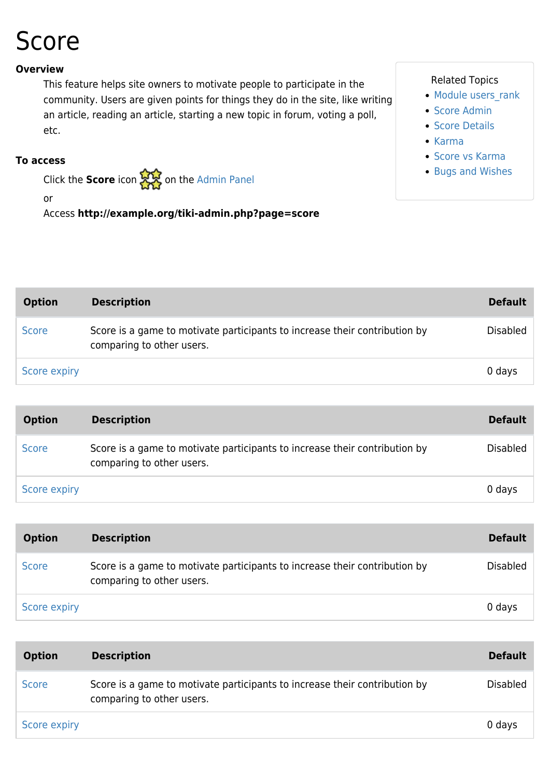# Score

#### **Overview**

This feature helps site owners to motivate people to participate in the community. Users are given points for things they do in the site, like writing an article, reading an article, starting a new topic in forum, voting a poll, etc.

#### **To access**

Click the **Score** icon **the [Admin Panel](https://doc.tiki.org/Admin-Panels)** 

or

Access **http://example.org/tiki-admin.php?page=score**

#### Related Topics

- Module users rank
- [Score Admin](https://doc.tiki.org/Score-Admin)
- [Score Details](https://doc.tiki.org/Score-Details)
- [Karma](https://doc.tiki.org/Karma)
- [Score vs Karma](https://doc.tiki.org/Score-vs-Karma)
- [Bugs and Wishes](http://dev.tiki.org/Administration)

| <b>Option</b> | <b>Description</b>                                                                                      | <b>Default</b>  |
|---------------|---------------------------------------------------------------------------------------------------------|-----------------|
| <b>Score</b>  | Score is a game to motivate participants to increase their contribution by<br>comparing to other users. | <b>Disabled</b> |
| Score expiry  |                                                                                                         | 0 days          |

| <b>Option</b> | <b>Description</b>                                                                                      | <b>Default</b>  |
|---------------|---------------------------------------------------------------------------------------------------------|-----------------|
| <b>Score</b>  | Score is a game to motivate participants to increase their contribution by<br>comparing to other users. | <b>Disabled</b> |
| Score expiry  |                                                                                                         | 0 days          |

| <b>Option</b> | <b>Description</b>                                                                                      | <b>Default</b> |
|---------------|---------------------------------------------------------------------------------------------------------|----------------|
| <b>Score</b>  | Score is a game to motivate participants to increase their contribution by<br>comparing to other users. | Disabled       |
| Score expiry  |                                                                                                         | 0 days         |

| <b>Option</b> | <b>Description</b>                                                                                      | <b>Default</b>  |
|---------------|---------------------------------------------------------------------------------------------------------|-----------------|
| <b>Score</b>  | Score is a game to motivate participants to increase their contribution by<br>comparing to other users. | <b>Disabled</b> |
| Score expiry  |                                                                                                         | 0 days          |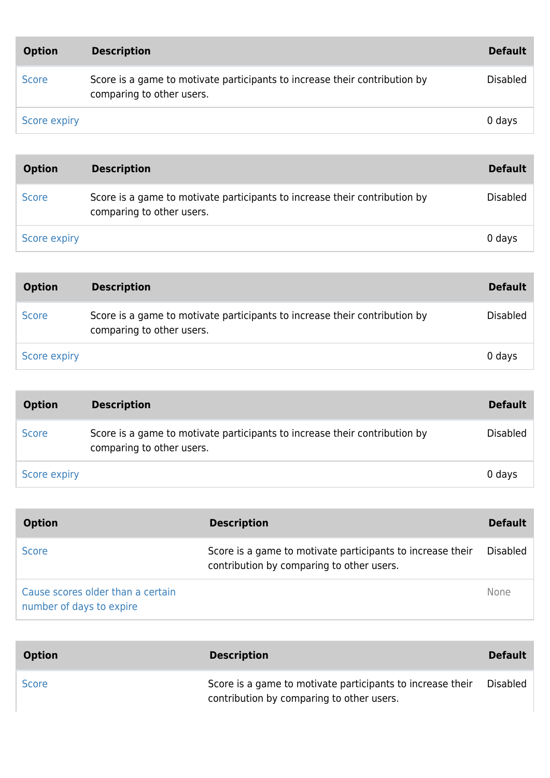| <b>Option</b> | <b>Description</b>                                                                                      | <b>Default</b> |
|---------------|---------------------------------------------------------------------------------------------------------|----------------|
| <b>Score</b>  | Score is a game to motivate participants to increase their contribution by<br>comparing to other users. | Disabled       |
| Score expiry  |                                                                                                         | 0 days         |

| <b>Option</b> | <b>Description</b>                                                                                      | <b>Default</b>  |
|---------------|---------------------------------------------------------------------------------------------------------|-----------------|
| <b>Score</b>  | Score is a game to motivate participants to increase their contribution by<br>comparing to other users. | <b>Disabled</b> |
| Score expiry  |                                                                                                         | 0 days          |

| <b>Option</b> | <b>Description</b>                                                                                      | <b>Default</b>  |
|---------------|---------------------------------------------------------------------------------------------------------|-----------------|
| <b>Score</b>  | Score is a game to motivate participants to increase their contribution by<br>comparing to other users. | <b>Disabled</b> |
| Score expiry  |                                                                                                         | 0 days          |

| <b>Option</b> | <b>Description</b>                                                                                      | <b>Default</b>  |
|---------------|---------------------------------------------------------------------------------------------------------|-----------------|
| <b>Score</b>  | Score is a game to motivate participants to increase their contribution by<br>comparing to other users. | <b>Disabled</b> |
| Score expiry  |                                                                                                         | 0 days          |

| <b>Option</b>                                                 | <b>Description</b>                                                                                      | <b>Default</b>  |
|---------------------------------------------------------------|---------------------------------------------------------------------------------------------------------|-----------------|
| <b>Score</b>                                                  | Score is a game to motivate participants to increase their<br>contribution by comparing to other users. | <b>Disabled</b> |
| Cause scores older than a certain<br>number of days to expire |                                                                                                         | <b>None</b>     |

| <b>Option</b> | <b>Description</b>                                                                                      | <b>Default</b>  |
|---------------|---------------------------------------------------------------------------------------------------------|-----------------|
| <b>Score</b>  | Score is a game to motivate participants to increase their<br>contribution by comparing to other users. | <b>Disabled</b> |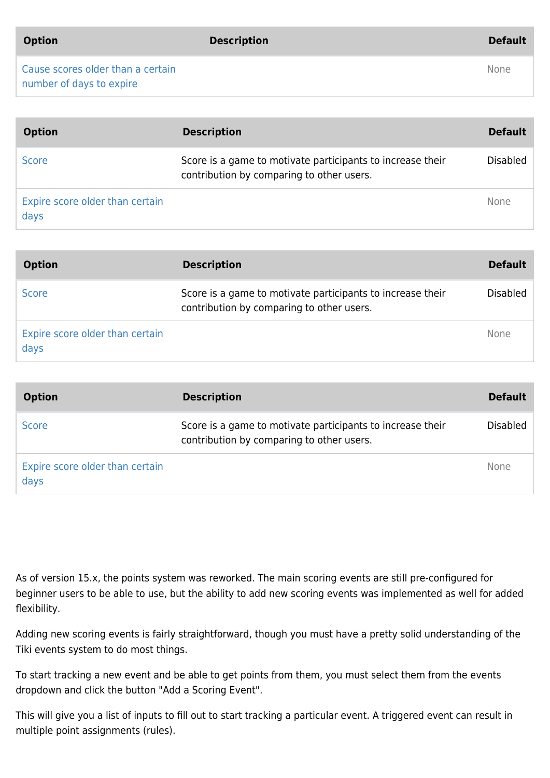| <b>Option</b> |  |
|---------------|--|

[Cause scores older than a certain](https://doc.tiki.org/Score) [number of days to expire](https://doc.tiki.org/Score)

| <b>Option</b>                           | <b>Description</b>                                                                                      | <b>Default</b>  |
|-----------------------------------------|---------------------------------------------------------------------------------------------------------|-----------------|
| <b>Score</b>                            | Score is a game to motivate participants to increase their<br>contribution by comparing to other users. | <b>Disabled</b> |
| Expire score older than certain<br>days |                                                                                                         | None            |

| <b>Option</b>                           | <b>Description</b>                                                                                      | <b>Default</b>  |
|-----------------------------------------|---------------------------------------------------------------------------------------------------------|-----------------|
| <b>Score</b>                            | Score is a game to motivate participants to increase their<br>contribution by comparing to other users. | <b>Disabled</b> |
| Expire score older than certain<br>days |                                                                                                         | <b>None</b>     |

| <b>Option</b>                           | <b>Description</b>                                                                                      | <b>Default</b>  |
|-----------------------------------------|---------------------------------------------------------------------------------------------------------|-----------------|
| <b>Score</b>                            | Score is a game to motivate participants to increase their<br>contribution by comparing to other users. | <b>Disabled</b> |
| Expire score older than certain<br>days |                                                                                                         | None            |

As of version 15.x, the points system was reworked. The main scoring events are still pre-configured for beginner users to be able to use, but the ability to add new scoring events was implemented as well for added flexibility.

Adding new scoring events is fairly straightforward, though you must have a pretty solid understanding of the Tiki events system to do most things.

To start tracking a new event and be able to get points from them, you must select them from the events dropdown and click the button "Add a Scoring Event".

This will give you a list of inputs to fill out to start tracking a particular event. A triggered event can result in multiple point assignments (rules).

None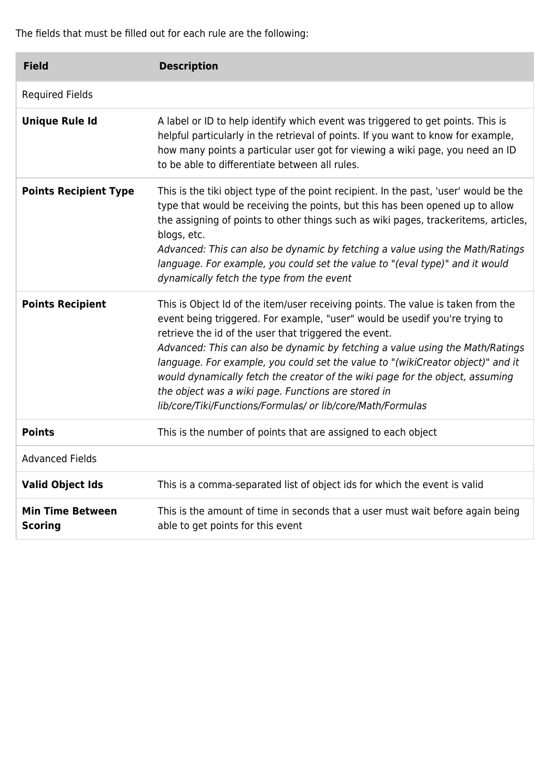The fields that must be filled out for each rule are the following:

| <b>Field</b>                              | <b>Description</b>                                                                                                                                                                                                                                                                                                                                                                                                                                                                                                                                                                                  |
|-------------------------------------------|-----------------------------------------------------------------------------------------------------------------------------------------------------------------------------------------------------------------------------------------------------------------------------------------------------------------------------------------------------------------------------------------------------------------------------------------------------------------------------------------------------------------------------------------------------------------------------------------------------|
| <b>Required Fields</b>                    |                                                                                                                                                                                                                                                                                                                                                                                                                                                                                                                                                                                                     |
| <b>Unique Rule Id</b>                     | A label or ID to help identify which event was triggered to get points. This is<br>helpful particularly in the retrieval of points. If you want to know for example,<br>how many points a particular user got for viewing a wiki page, you need an ID<br>to be able to differentiate between all rules.                                                                                                                                                                                                                                                                                             |
| <b>Points Recipient Type</b>              | This is the tiki object type of the point recipient. In the past, 'user' would be the<br>type that would be receiving the points, but this has been opened up to allow<br>the assigning of points to other things such as wiki pages, trackeritems, articles,<br>blogs, etc.<br>Advanced: This can also be dynamic by fetching a value using the Math/Ratings<br>language. For example, you could set the value to "(eval type)" and it would<br>dynamically fetch the type from the event                                                                                                          |
| <b>Points Recipient</b>                   | This is Object Id of the item/user receiving points. The value is taken from the<br>event being triggered. For example, "user" would be usedif you're trying to<br>retrieve the id of the user that triggered the event.<br>Advanced: This can also be dynamic by fetching a value using the Math/Ratings<br>language. For example, you could set the value to "(wikiCreator object)" and it<br>would dynamically fetch the creator of the wiki page for the object, assuming<br>the object was a wiki page. Functions are stored in<br>lib/core/Tiki/Functions/Formulas/ or lib/core/Math/Formulas |
| <b>Points</b>                             | This is the number of points that are assigned to each object                                                                                                                                                                                                                                                                                                                                                                                                                                                                                                                                       |
| <b>Advanced Fields</b>                    |                                                                                                                                                                                                                                                                                                                                                                                                                                                                                                                                                                                                     |
| <b>Valid Object Ids</b>                   | This is a comma-separated list of object ids for which the event is valid                                                                                                                                                                                                                                                                                                                                                                                                                                                                                                                           |
| <b>Min Time Between</b><br><b>Scoring</b> | This is the amount of time in seconds that a user must wait before again being<br>able to get points for this event                                                                                                                                                                                                                                                                                                                                                                                                                                                                                 |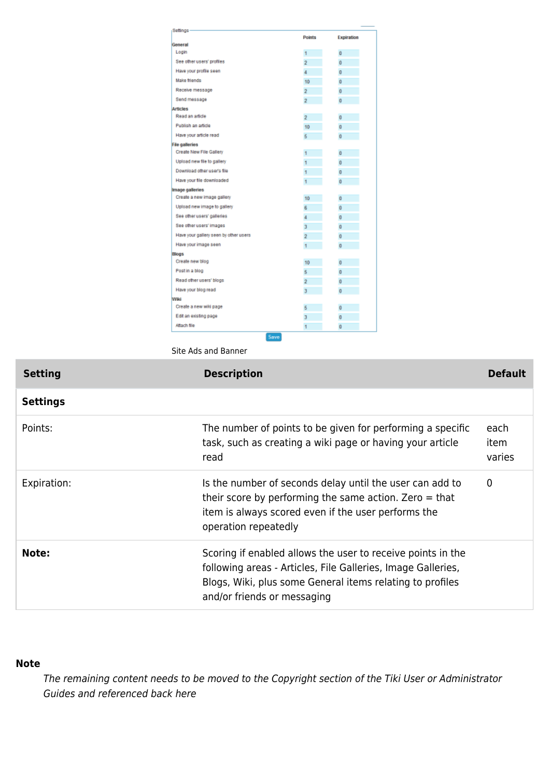| Settings                              |                |                     |
|---------------------------------------|----------------|---------------------|
|                                       | <b>Points</b>  | Expiration          |
| General                               |                |                     |
| Login                                 | 1              | $\ddot{\mathbf{0}}$ |
| See other users' profiles             | $\overline{2}$ | $\bf{0}$            |
| Have your profile seen                | ă              | $\mathbf{0}$        |
| <b>Make friends</b>                   | 10             | $\ddot{\mathbf{0}}$ |
| Receive message                       | $\overline{2}$ | $\bf{0}$            |
| Send message                          | $\overline{2}$ | $\overline{0}$      |
| <b>Articles</b>                       |                |                     |
| Read an article                       | $\overline{2}$ | $\bf{0}$            |
| Publish an article                    | 10             | $\bf{0}$            |
| Have your article read                | 6              | Ō                   |
| <b>File galleries</b>                 |                |                     |
| Create New File Gallery               | $\mathbf{1}$   | $\Omega$            |
| Upload new file to gallery            | 1              | $\bf{0}$            |
| Download other user's file            | 1              | $\bf{0}$            |
| Have your file downloaded             | ٠              | $\ddot{\mathbf{0}}$ |
| Image galleries                       |                |                     |
| Create a new image gallery            | 10             | $\Omega$            |
| Upload new image to gallery           | 6              | $\mathbf 0$         |
| See other users' galleries            | 4              | $\bf{0}$            |
| See other users' images               | $\overline{3}$ | O                   |
| Have your gallery seen by other users | $\overline{2}$ | $\bf{0}$            |
| Have your image seen                  | 1              | $\bf{0}$            |
| <b>Blogs</b>                          |                |                     |
| Create new blog                       | 10             | $\bf{0}$            |
| Post in a blog                        | 5              | $\bf{0}$            |
| Read other users' blogs               | $\overline{2}$ | Ŭ                   |
| Have your blog read                   | 3              | $\bf{0}$            |
| Wiki                                  |                |                     |
| Create a new wiki page                | 6              | $\bf{0}$            |
| Edit an existing page                 | 3              | $\overline{0}$      |
| Attach file                           | 1              | $\ddot{\mathbf{0}}$ |

Site Ads and Banner

| <b>Setting</b>  | <b>Description</b>                                                                                                                                                                                                      | <b>Default</b>         |
|-----------------|-------------------------------------------------------------------------------------------------------------------------------------------------------------------------------------------------------------------------|------------------------|
| <b>Settings</b> |                                                                                                                                                                                                                         |                        |
| Points:         | The number of points to be given for performing a specific<br>task, such as creating a wiki page or having your article<br>read                                                                                         | each<br>item<br>varies |
| Expiration:     | Is the number of seconds delay until the user can add to<br>their score by performing the same action. Zero $=$ that<br>item is always scored even if the user performs the<br>operation repeatedly                     | 0                      |
| Note:           | Scoring if enabled allows the user to receive points in the<br>following areas - Articles, File Galleries, Image Galleries,<br>Blogs, Wiki, plus some General items relating to profiles<br>and/or friends or messaging |                        |

#### **Note**

The remaining content needs to be moved to the Copyright section of the Tiki User or Administrator Guides and referenced back here